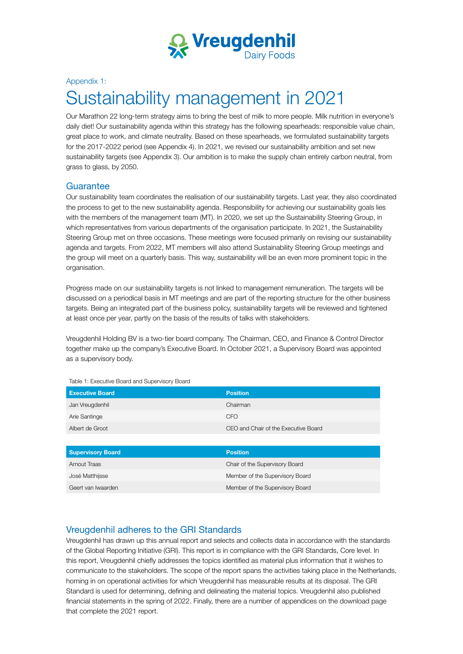

#### Appendix 1:

# Sustainability management in 2021

Our Marathon 22 long-term strategy aims to bring the best of milk to more people. Milk nutrition in everyone's daily diet! Our sustainability agenda within this strategy has the following spearheads: responsible value chain, great place to work, and climate neutrality. Based on these spearheads, we formulated sustainability targets for the 2017-2022 period (see Appendix 4). In 2021, we revised our sustainability ambition and set new sustainability targets (see Appendix 3). Our ambition is to make the supply chain entirely carbon neutral, from grass to glass, by 2050.

#### **Guarantee**

Our sustainability team coordinates the realisation of our sustainability targets. Last year, they also coordinated the process to get to the new sustainability agenda. Responsibility for achieving our sustainability goals lies with the members of the management team (MT). In 2020, we set up the Sustainability Steering Group, in which representatives from various departments of the organisation participate. In 2021, the Sustainability Steering Group met on three occasions. These meetings were focused primarily on revising our sustainability agenda and targets. From 2022, MT members will also attend Sustainability Steering Group meetings and the group will meet on a quarterly basis. This way, sustainability will be an even more prominent topic in the organisation.

Progress made on our sustainability targets is not linked to management remuneration. The targets will be discussed on a periodical basis in MT meetings and are part of the reporting structure for the other business targets. Being an integrated part of the business policy, sustainability targets will be reviewed and tightened at least once per year, partly on the basis of the results of talks with stakeholders.

Vreugdenhil Holding BV is a two-tier board company. The Chairman, CEO, and Finance & Control Director together make up the company's Executive Board. In October 2021, a Supervisory Board was appointed as a supervisory body.

| <b>Executive Board</b> | <b>Position</b>                      |
|------------------------|--------------------------------------|
| Jan Vreugdenhil        | Chairman                             |
| Arie Santinge          | <b>CFO</b>                           |
| Albert de Groot        | CEO and Chair of the Executive Board |
|                        |                                      |

Table 1: Executive Board and Supervisory Board

| <b>Supervisory Board</b> | <b>Position</b>                 |
|--------------------------|---------------------------------|
| Arnout Traas             | Chair of the Supervisory Board  |
| José Matthijsse          | Member of the Supervisory Board |
| Geert van Iwaarden       | Member of the Supervisory Board |

### Vreugdenhil adheres to the GRI Standards

Vreugdenhil has drawn up this annual report and selects and collects data in accordance with the standards of the Global Reporting Initiative (GRI). This report is in compliance with the GRI Standards, Core level. In this report, Vreugdenhil chiefly addresses the topics identified as material plus information that it wishes to communicate to the stakeholders. The scope of the report spans the activities taking place in the Netherlands, homing in on operational activities for which Vreugdenhil has measurable results at its disposal. The GRI Standard is used for determining, defining and delineating the material topics. Vreugdenhil also published financial statements in the spring of 2022. Finally, there are a number of appendices on the download page that complete the 2021 report.